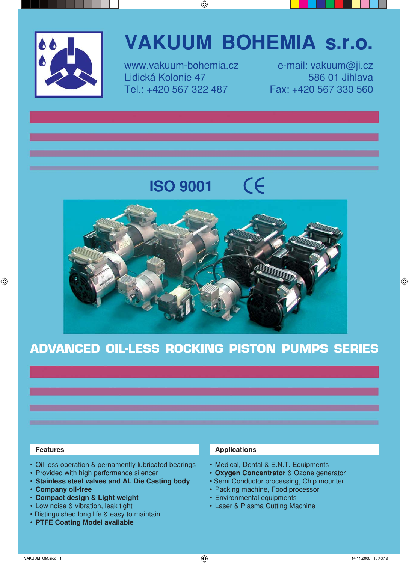

# **VAKUUM BOHEMIA s.r.o.**

Lidická Kolonie 47 586 01 Jihlava Tel.: +420 567 322 487 Fax: +420 567 330 560

www.vakuum-bohemia.cz e-mail: vakuum@ji.cz

# CE **ISO 9001**



# ADVANCED OIL-LESS ROCKING PISTON PUMPS SERIES

- Oil-less operation & pernamently lubricated bearings
- Provided with high performance silencer
- **Stainless steel valves and AL Die Casting body**
- **Company oil-free**
- **Compact design & Light weight**
- Low noise & vibration, leak tight
- Distinguished long life & easy to maintain
- **PTFE Coating Model available**

## **Features Applications Applications**

- Medical, Dental & E.N.T. Equipments
- **Oxygen Concentrator** & Ozone generator
- Semi Conductor processing, Chip mounter
- Packing machine, Food processor
- Environmental equipments
- Laser & Plasma Cutting Machine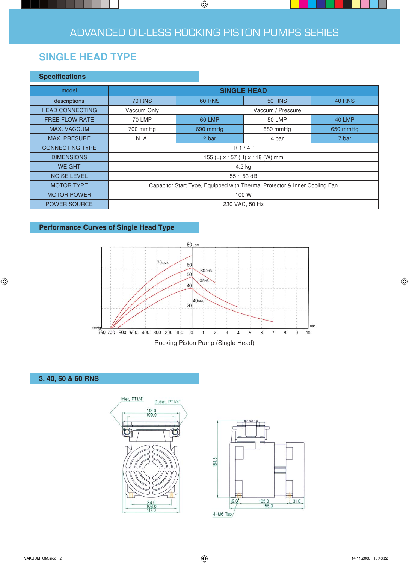# **SINGLE HEAD TYPE**

### **Specifications**

| model                  | <b>SINGLE HEAD</b>                                                        |                   |               |               |  |  |  |
|------------------------|---------------------------------------------------------------------------|-------------------|---------------|---------------|--|--|--|
| descriptions           | <b>70 RNS</b>                                                             | <b>60 RNS</b>     | <b>50 RNS</b> |               |  |  |  |
| <b>HEAD CONNECTING</b> | Vaccum Only                                                               | Vaccum / Pressure |               |               |  |  |  |
| <b>FREE FLOW RATE</b>  | <b>70 LMP</b>                                                             | <b>60 LMP</b>     | 50 LMP        | <b>40 LMP</b> |  |  |  |
| <b>MAX. VACCUM</b>     | 700 mmHg                                                                  | 690 mmHg          | 680 mmHg      | 650 mmHg      |  |  |  |
| <b>MAX. PRESURE</b>    | N. A.                                                                     | 2 bar             | 4 bar         | 7 bar         |  |  |  |
| <b>CONNECTING TYPE</b> | R1/4"                                                                     |                   |               |               |  |  |  |
| <b>DIMENSIONS</b>      | 155 (L) x 157 (H) x 118 (W) mm                                            |                   |               |               |  |  |  |
| <b>WEIGHT</b>          | 4.2 kg                                                                    |                   |               |               |  |  |  |
| <b>NOISE LEVEL</b>     | $55 \sim 53$ dB                                                           |                   |               |               |  |  |  |
| <b>MOTOR TYPE</b>      | Capacitor Start Type, Equipped with Thermal Protector & Inner Cooling Fan |                   |               |               |  |  |  |
| <b>MOTOR POWER</b>     | 100 W                                                                     |                   |               |               |  |  |  |
| POWER SOURCE           | 230 VAC, 50 Hz                                                            |                   |               |               |  |  |  |

# **Performance Curves of Single Head Type**







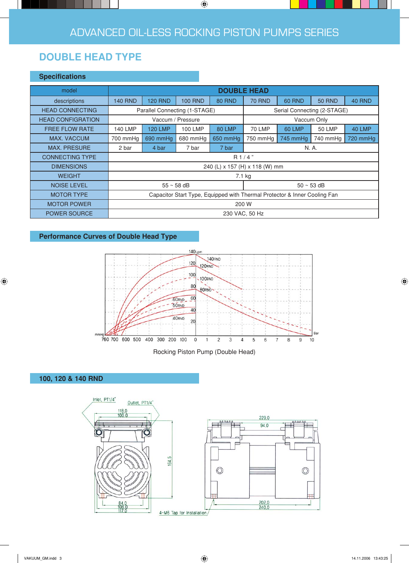# **DOUBLE HEAD TYPE**

### **Specifications**

| model                    | <b>DOUBLE HEAD</b>                                                        |                |                |               |                             |               |               |               |
|--------------------------|---------------------------------------------------------------------------|----------------|----------------|---------------|-----------------------------|---------------|---------------|---------------|
| descriptions             | <b>140 RND</b>                                                            | <b>120 RND</b> | <b>100 RND</b> | <b>80 RND</b> | <b>70 RND</b>               | <b>60 RND</b> | <b>50 RND</b> | <b>40 RND</b> |
| <b>HEAD CONNECTING</b>   | Parallel Connecting (1-STAGE)                                             |                |                |               | Serial Connecting (2-STAGE) |               |               |               |
| <b>HEAD CONFIGRATION</b> | Vaccum / Pressure                                                         |                |                |               | Vaccum Only                 |               |               |               |
| <b>FREE FLOW RATE</b>    | <b>140 LMP</b>                                                            | <b>120 LMP</b> | 100 LMP        | 80 LMP        | 70 LMP                      | <b>60 LMP</b> | <b>50 LMP</b> | 40 LMP        |
| <b>MAX. VACCUM</b>       | 700 mmHg                                                                  | 690 mmHg       | 680 mmHg       | 650 mmHq      | 750 mmHg                    | 745 mmHg      | 740 mmHg      | 720 mmHg      |
| <b>MAX. PRESURE</b>      | 2 bar                                                                     | 4 bar          | 7 bar          | 7 bar         | N. A.                       |               |               |               |
| <b>CONNECTING TYPE</b>   | R1/4"                                                                     |                |                |               |                             |               |               |               |
| <b>DIMENSIONS</b>        | 240 (L) x 157 (H) x 118 (W) mm                                            |                |                |               |                             |               |               |               |
| <b>WEIGHT</b>            | 7.1 kg                                                                    |                |                |               |                             |               |               |               |
| <b>NOISE LEVEL</b>       | $55 \sim 58$ dB                                                           |                |                |               | $50 \sim 53$ dB             |               |               |               |
| <b>MOTOR TYPE</b>        | Capacitor Start Type, Equipped with Thermal Protector & Inner Cooling Fan |                |                |               |                             |               |               |               |
| <b>MOTOR POWER</b>       | 200 W                                                                     |                |                |               |                             |               |               |               |
| <b>POWER SOURCE</b>      | 230 VAC, 50 Hz                                                            |                |                |               |                             |               |               |               |

# **Performance Curves of Double Head Type**





# **100, 120 & 140 RND**